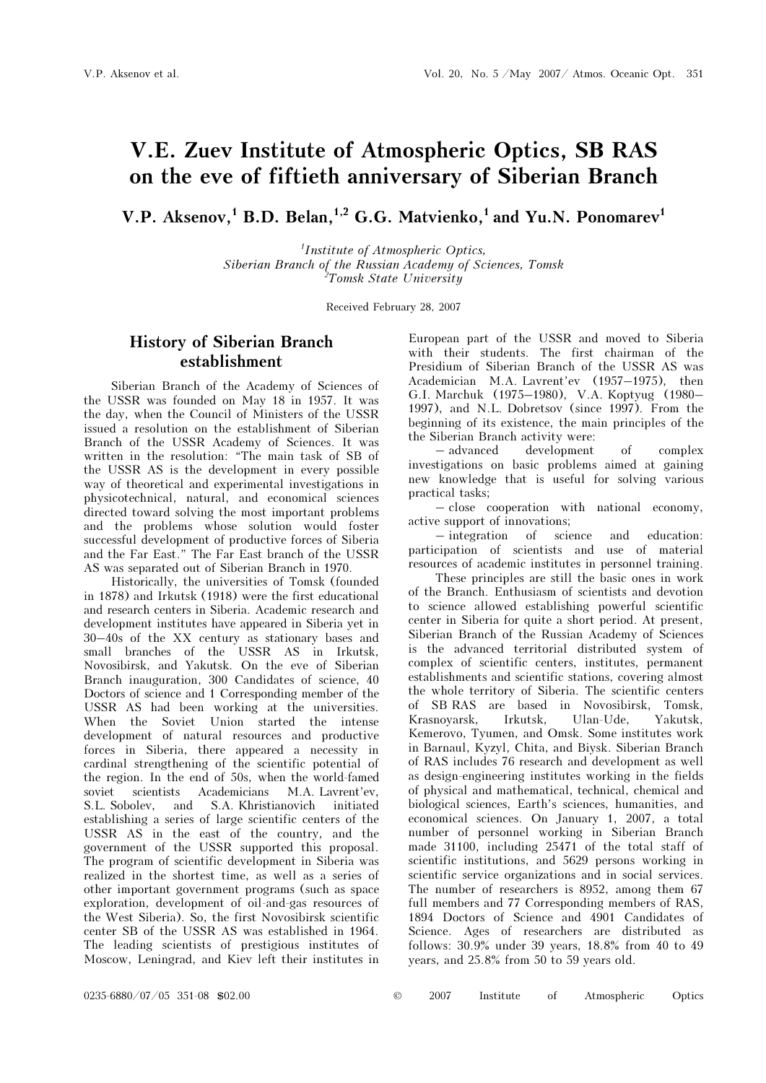# V.E. Zuev Institute of Atmospheric Optics, SB RAS on the eve of fiftieth anniversary of Siberian Branch

V.P. Aksenov,<sup>1</sup> B.D. Belan,<sup>1,2</sup> G.G. Matvienko,<sup>1</sup> and Yu.N. Ponomarev<sup>1</sup>

1 Institute of Atmospheric Optics, Siberian Branch of the Russian Academy of Sciences, Tomsk <sup>2</sup>Tomsk State University<sup>'</sup>

Received February 28, 2007

## History of Siberian Branch establishment

Siberian Branch of the Academy of Sciences of the USSR was founded on May 18 in 1957. It was the day, when the Council of Ministers of the USSR issued a resolution on the establishment of Siberian Branch of the USSR Academy of Sciences. It was written in the resolution: "The main task of SB of the USSR AS is the development in every possible way of theoretical and experimental investigations in physicotechnical, natural, and economical sciences directed toward solving the most important problems and the problems whose solution would foster successful development of productive forces of Siberia and the Far East." The Far East branch of the USSR AS was separated out of Siberian Branch in 1970.

Historically, the universities of Tomsk (founded in 1878) and Irkutsk (1918) were the first educational and research centers in Siberia. Academic research and development institutes have appeared in Siberia yet in 30–40s of the XX century as stationary bases and small branches of the USSR AS in Irkutsk, Novosibirsk, and Yakutsk. On the eve of Siberian Branch inauguration, 300 Candidates of science, 40 Doctors of science and 1 Corresponding member of the USSR AS had been working at the universities. When the Soviet Union started the intense development of natural resources and productive forces in Siberia, there appeared a necessity in cardinal strengthening of the scientific potential of the region. In the end of 50s, when the world-famed soviet scientists Academicians M.A. Lavrent'ev, S.L. Sobolev, and S.A. Khristianovich initiated establishing a series of large scientific centers of the USSR AS in the east of the country, and the government of the USSR supported this proposal. The program of scientific development in Siberia was realized in the shortest time, as well as a series of other important government programs (such as space exploration, development of oil-and-gas resources of the West Siberia). So, the first Novosibirsk scientific center SB of the USSR AS was established in 1964. The leading scientists of prestigious institutes of Moscow, Leningrad, and Kiev left their institutes in

European part of the USSR and moved to Siberia with their students. The first chairman of the Presidium of Siberian Branch of the USSR AS was Academician M.A. Lavrent'ev (1957–1975), then G.I. Marchuk (1975–1980), V.A. Koptyug (1980– 1997), and N.L. Dobretsov (since 1997). From the beginning of its existence, the main principles of the the Siberian Branch activity were:

– advanced development of complex investigations on basic problems aimed at gaining new knowledge that is useful for solving various practical tasks;

– close cooperation with national economy, active support of innovations;

– integration of science and education: participation of scientists and use of material resources of academic institutes in personnel training.

 These principles are still the basic ones in work of the Branch. Enthusiasm of scientists and devotion to science allowed establishing powerful scientific center in Siberia for quite a short period. At present, Siberian Branch of the Russian Academy of Sciences is the advanced territorial distributed system of complex of scientific centers, institutes, permanent establishments and scientific stations, covering almost the whole territory of Siberia. The scientific centers of SB RAS are based in Novosibirsk, Tomsk, Krasnoyarsk, Irkutsk, Ulan-Ude, Yakutsk, Kemerovo, Tyumen, and Omsk. Some institutes work in Barnaul, Kyzyl, Chita, and Biysk. Siberian Branch of RAS includes 76 research and development as well as design-engineering institutes working in the fields of physical and mathematical, technical, chemical and biological sciences, Earth's sciences, humanities, and economical sciences. On January 1, 2007, a total number of personnel working in Siberian Branch made 31100, including 25471 of the total staff of scientific institutions, and 5629 persons working in scientific service organizations and in social services. The number of researchers is 8952, among them 67 full members and 77 Corresponding members of RAS, 1894 Doctors of Science and 4901 Candidates of Science. Ages of researchers are distributed as follows: 30.9% under 39 years, 18.8% from 40 to 49 years, and 25.8% from 50 to 59 years old.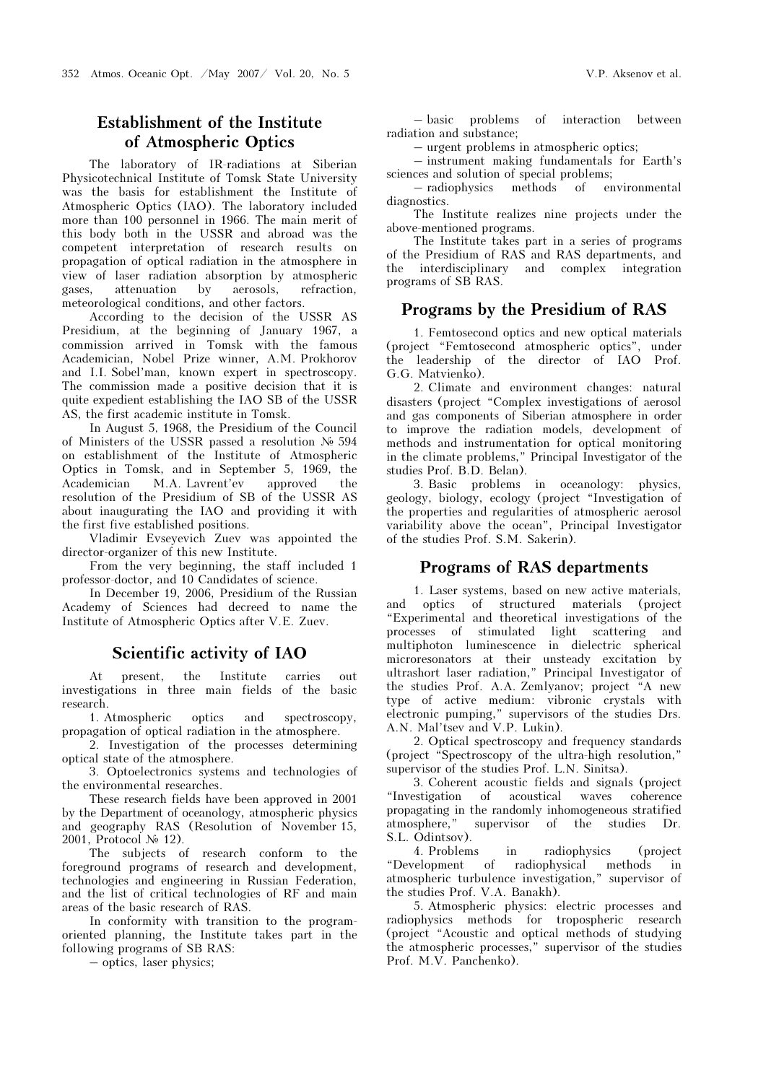# Establishment of the Institute of Atmospheric Optics

The laboratory of IR-radiations at Siberian Physicotechnical Institute of Tomsk State University was the basis for establishment the Institute of Atmospheric Optics (IAO). The laboratory included more than 100 personnel in 1966. The main merit of this body both in the USSR and abroad was the competent interpretation of research results on propagation of optical radiation in the atmosphere in view of laser radiation absorption by atmospheric gases, attenuation by aerosols, refraction, meteorological conditions, and other factors.

According to the decision of the USSR AS Presidium, at the beginning of January 1967, a commission arrived in Tomsk with the famous Academician, Nobel Prize winner, A.M. Prokhorov and I.I. Sobel'man, known expert in spectroscopy. The commission made a positive decision that it is quite expedient establishing the IAO SB of the USSR AS, the first academic institute in Tomsk.

In August 5, 1968, the Presidium of the Council of Ministers of the USSR passed a resolution  $\mathcal{N}_2$  594 on establishment of the Institute of Atmospheric Optics in Tomsk, and in September 5, 1969, the Academician M.A. Lavrent'ev approved the resolution of the Presidium of SB of the USSR AS about inaugurating the IAO and providing it with the first five established positions.

Vladimir Evseyevich Zuev was appointed the director-organizer of this new Institute.

From the very beginning, the staff included 1 professor-doctor, and 10 Candidates of science.

In December 19, 2006, Presidium of the Russian Academy of Sciences had decreed to name the Institute of Atmospheric Optics after V.E. Zuev.

### Scientific activity of IAO

At present, the Institute carries out investigations in three main fields of the basic research.

1. Atmospheric optics and spectroscopy, propagation of optical radiation in the atmosphere.

2. Investigation of the processes determining optical state of the atmosphere.

3. Optoelectronics systems and technologies of the environmental researches.

These research fields have been approved in 2001 by the Department of oceanology, atmospheric physics and geography RAS (Resolution of November 15, 2001, Protocol  $\mathcal{N}_2$  12).

The subjects of research conform to the foreground programs of research and development, technologies and engineering in Russian Federation, and the list of critical technologies of RF and main areas of the basic research of RAS.

In conformity with transition to the programoriented planning, the Institute takes part in the following programs of SB RAS:

– optics, laser physics;

– basic problems of interaction between radiation and substance;

– urgent problems in atmospheric optics;

– instrument making fundamentals for Earth's sciences and solution of special problems;

– radiophysics methods of environmental diagnostics.

The Institute realizes nine projects under the above-mentioned programs.

The Institute takes part in a series of programs of the Presidium of RAS and RAS departments, and the interdisciplinary and complex integration programs of SB RAS.

### Programs by the Presidium of RAS

1. Femtosecond optics and new optical materials (project "Femtosecond atmospheric optics", under the leadership of the director of IAO Prof. G.G. Matvienko).

2. Climate and environment changes: natural disasters (project "Complex investigations of aerosol and gas components of Siberian atmosphere in order to improve the radiation models, development of methods and instrumentation for optical monitoring in the climate problems," Principal Investigator of the studies Prof. B.D. Belan).

3. Basic problems in oceanology: physics, geology, biology, ecology (project "Investigation of the properties and regularities of atmospheric aerosol variability above the ocean", Principal Investigator of the studies Prof. S.M. Sakerin).

#### Programs of RAS departments

1. Laser systems, based on new active materials, and optics of structured materials (project "Experimental and theoretical investigations of the processes of stimulated light scattering and multiphoton luminescence in dielectric spherical microresonators at their unsteady excitation by ultrashort laser radiation," Principal Investigator of the studies Prof. À.À. Zemlyanov; project "A new type of active medium: vibronic crystals with electronic pumping," supervisors of the studies Drs. A.N. Mal'tsev and V.P. Lukin).

2. Optical spectroscopy and frequency standards (project "Spectroscopy of the ultra-high resolution," supervisor of the studies Prof. L.N. Sinitsa).

3. Coherent acoustic fields and signals (project "Investigation of acoustical waves coherence propagating in the randomly inhomogeneous stratified atmosphere," supervisor of the studies Dr. S.L. Odintsov).

4. Problems in radiophysics (project radiophysical methods in atmospheric turbulence investigation," supervisor of the studies Prof. V.A. Banakh).

5. Atmospheric physics: electric processes and radiophysics methods for tropospheric research (project "Acoustic and optical methods of studying the atmospheric processes," supervisor of the studies Prof. M.V. Panchenko).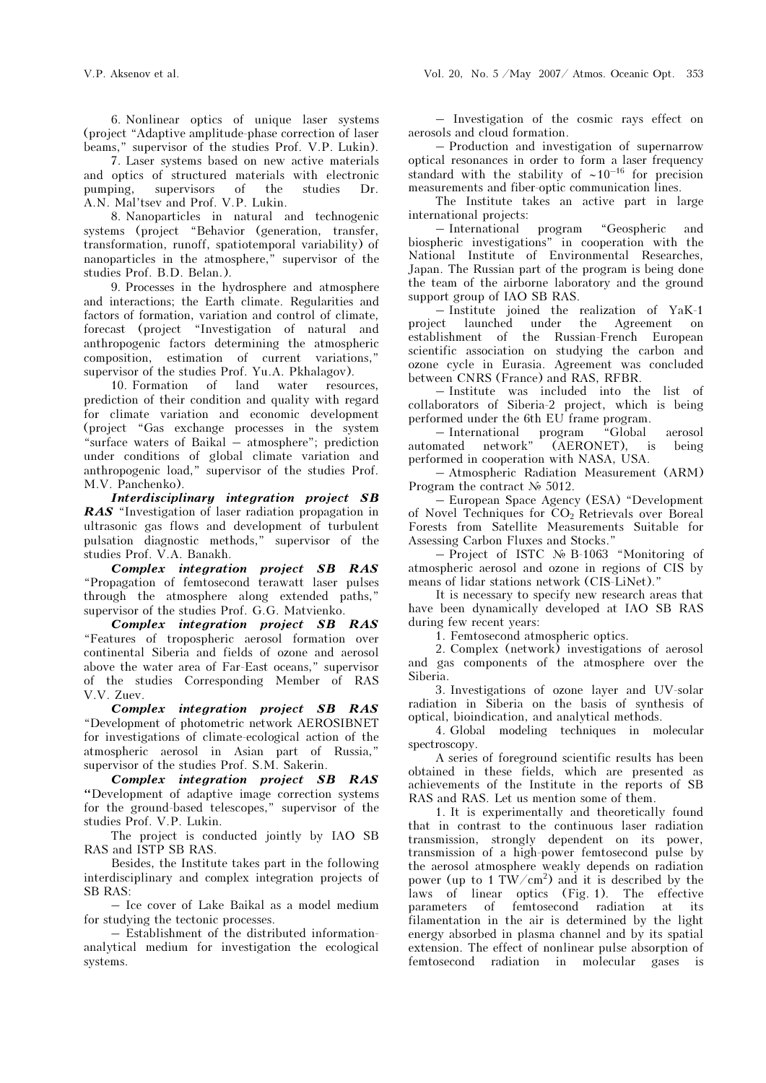6. Nonlinear optics of unique laser systems (project "Adaptive amplitude-phase correction of laser beams," supervisor of the studies Prof. V.P. Lukin).

 7. Laser systems based on new active materials and optics of structured materials with electronic pumping, supervisors of the studies Dr. A.N. Mal'tsev and Prof. V.P. Lukin.

8. Nanoparticles in natural and technogenic systems (project "Behavior (generation, transfer, transformation, runoff, spatiotemporal variability) of nanoparticles in the atmosphere," supervisor of the studies Prof. B.D. Belan.).

9. Processes in the hydrosphere and atmosphere and interactions; the Earth climate. Regularities and factors of formation, variation and control of climate, forecast (project "Investigation of natural and anthropogenic factors determining the atmospheric composition, estimation of current variations," supervisor of the studies Prof. Yu.A. Pkhalagov).

10. Formation of land water resources, prediction of their condition and quality with regard for climate variation and economic development (project "Gas exchange processes in the system "surface waters of Baikal – atmosphere"; prediction under conditions of global climate variation and anthropogenic load," supervisor of the studies Prof. M.V. Panchenko).

Interdisciplinary integration project SB RAS "Investigation of laser radiation propagation in ultrasonic gas flows and development of turbulent pulsation diagnostic methods," supervisor of the studies Prof. V.A. Banakh.

Complex integration project SB RAS "Propagation of femtosecond terawatt laser pulses through the atmosphere along extended paths," supervisor of the studies Prof. G.G. Matvienko.

Complex integration project SB RAS "Features of tropospheric aerosol formation over continental Siberia and fields of ozone and aerosol above the water area of Far-East oceans," supervisor of the studies Corresponding Member of RAS V.V. Zuev.

Complex integration project SB RAS "Development of photometric network AEROSIBNET for investigations of climate-ecological action of the atmospheric aerosol in Asian part of Russia," supervisor of the studies Prof. S.M. Sakerin.

Complex integration project SB RAS "Development of adaptive image correction systems for the ground-based telescopes," supervisor of the studies Prof. V.P. Lukin.

The project is conducted jointly by IAO SB RAS and ISTP SB RAS.

Besides, the Institute takes part in the following interdisciplinary and complex integration projects of SB RAS:

– Ice cover of Lake Baikal as a model medium for studying the tectonic processes.

– Establishment of the distributed informationanalytical medium for investigation the ecological systems.

– Investigation of the cosmic rays effect on aerosols and cloud formation.

– Production and investigation of supernarrow optical resonances in order to form a laser frequency standard with the stability of ∼10–16 for precision measurements and fiber-optic communication lines.

The Institute takes an active part in large international projects:

– International program "Geospheric and biospheric investigations" in cooperation with the National Institute of Environmental Researches, Japan. The Russian part of the program is being done the team of the airborne laboratory and the ground support group of IAO SB RAS.

– Institute joined the realization of YaK-1 project launched under the Agreement on establishment of the Russian-French European scientific association on studying the carbon and ozone cycle in Eurasia. Agreement was concluded between CNRS (France) and RAS, RFBR.

– Institute was included into the list of collaborators of Siberia-2 project, which is being performed under the 6th EU frame program.

– International program "Global aerosol automated network" (AERONET), is being performed in cooperation with NASA, USA.

– Atmospheric Radiation Measurement (ARM) Program the contract  $\mathcal{N}_{\mathbb{P}}$  5012.

– European Space Agency (ESA) "Development of Novel Techniques for CO<sub>2</sub> Retrievals over Boreal Forests from Satellite Measurements Suitable for Assessing Carbon Fluxes and Stocks."

 $-$  Project of ISTC  $\mathcal{N}_{\mathcal{P}}$  B-1063 "Monitoring of atmospheric aerosol and ozone in regions of CIS by means of lidar stations network (CIS-LiNet)."

It is necessary to specify new research areas that have been dynamically developed at IAO SB RAS during few recent years:

1. Femtosecond atmospheric optics.

2. Complex (network) investigations of aerosol and gas components of the atmosphere over the Siberia.

3. Investigations of ozone layer and UV-solar radiation in Siberia on the basis of synthesis of optical, bioindication, and analytical methods.

4. Global modeling techniques in molecular spectroscopy.

A series of foreground scientific results has been obtained in these fields, which are presented as achievements of the Institute in the reports of SB RAS and RAS. Let us mention some of them.

1. It is experimentally and theoretically found that in contrast to the continuous laser radiation transmission, strongly dependent on its power, transmission of a high-power femtosecond pulse by the aerosol atmosphere weakly depends on radiation power (up to 1 TW/cm<sup>2</sup>) and it is described by the laws of linear optics (Fig. 1). The effective parameters of femtosecond radiation at its filamentation in the air is determined by the light energy absorbed in plasma channel and by its spatial extension. The effect of nonlinear pulse absorption of femtosecond radiation in molecular gases is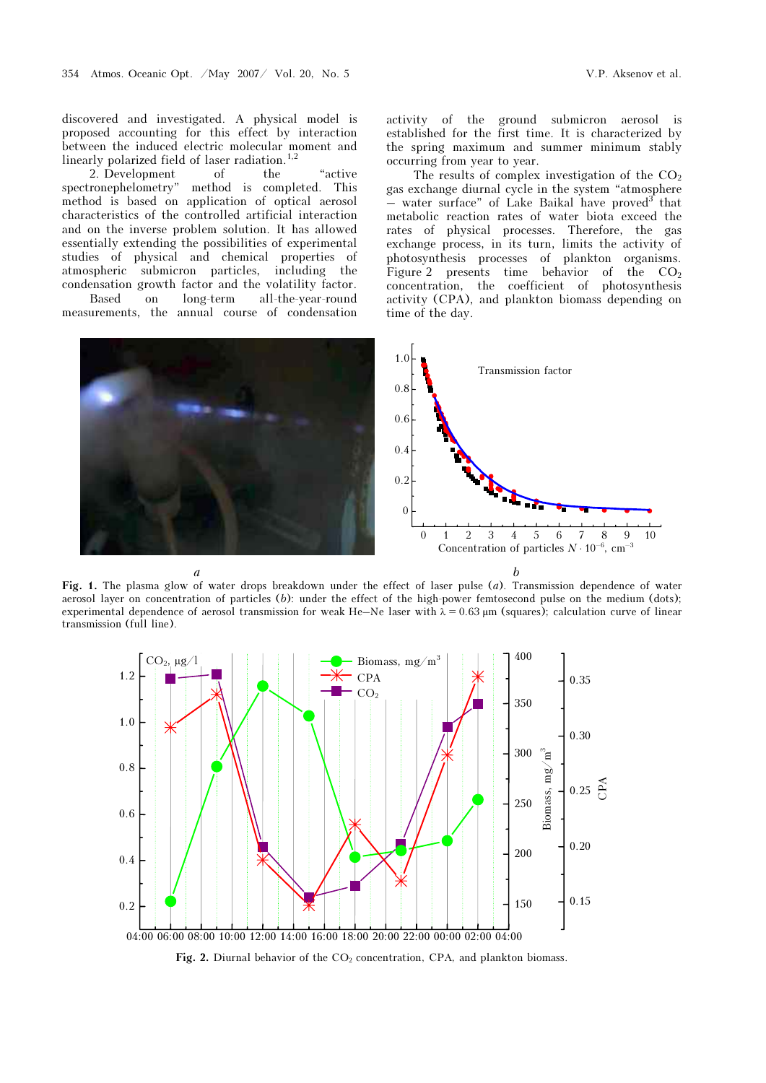discovered and investigated. A physical model is proposed accounting for this effect by interaction between the induced electric molecular moment and linearly polarized field of laser radiation.<sup>1,2</sup>

2. Development of the "active spectronephelometry" method is completed. This method is completed. This method is based on application of optical aerosol characteristics of the controlled artificial interaction and on the inverse problem solution. It has allowed essentially extending the possibilities of experimental studies of physical and chemical properties of atmospheric submicron particles, including the condensation growth factor and the volatility factor. Based on long-term all-the-year-round

measurements, the annual course of condensation

activity of the ground submicron aerosol is established for the first time. It is characterized by the spring maximum and summer minimum stably occurring from year to year.

The results of complex investigation of the  $CO<sub>2</sub>$ gas exchange diurnal cycle in the system "atmosphere  $-$  water surface" of Lake Baikal have proved that metabolic reaction rates of water biota exceed the rates of physical processes. Therefore, the gas exchange process, in its turn, limits the activity of photosynthesis processes of plankton organisms. Figure 2 presents time behavior of the  $CO<sub>2</sub>$ concentration, the coefficient of photosynthesis activity (CPA), and plankton biomass depending on time of the day.



Fig. 1. The plasma glow of water drops breakdown under the effect of laser pulse (a). Transmission dependence of water aerosol layer on concentration of particles (b): under the effect of the high-power femtosecond pulse on the medium (dots); experimental dependence of aerosol transmission for weak He–Ne laser with  $\lambda = 0.63 \,\mu$ m (squares); calculation curve of linear transmission (full line).



Fig. 2. Diurnal behavior of the  $CO<sub>2</sub>$  concentration, CPA, and plankton biomass.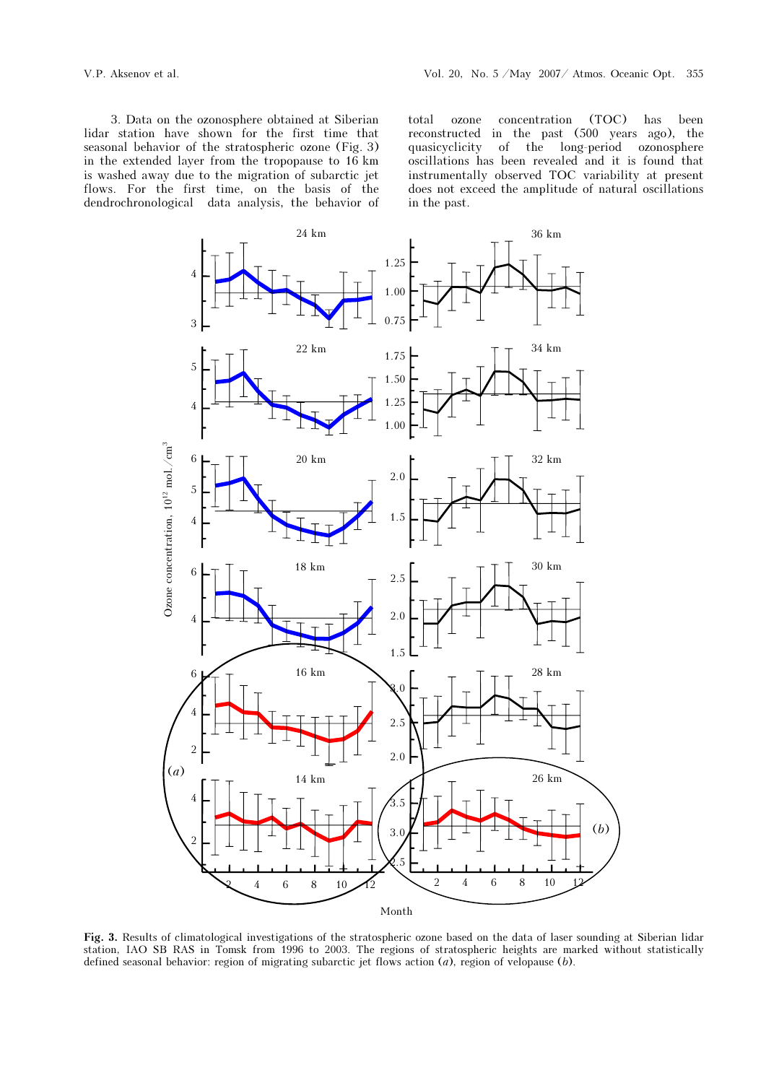3. Data on the ozonosphere obtained at Siberian lidar station have shown for the first time that seasonal behavior of the stratospheric ozone (Fig. 3) in the extended layer from the tropopause to 16 km is washed away due to the migration of subarctic jet flows. For the first time, on the basis of the dendrochronological data analysis, the behavior of

total ozone concentration (TOC) has been reconstructed in the past (500 years ago), the quasicyclicity of the long-period ozonosphere oscillations has been revealed and it is found that instrumentally observed TOC variability at present does not exceed the amplitude of natural oscillations in the past.



Fig. 3. Results of climatological investigations of the stratospheric ozone based on the data of laser sounding at Siberian lidar station, IAO SB RAS in Tomsk from 1996 to 2003. The regions of stratospheric heights are marked without statistically defined seasonal behavior: region of migrating subarctic jet flows action  $(a)$ , region of velopause  $(b)$ .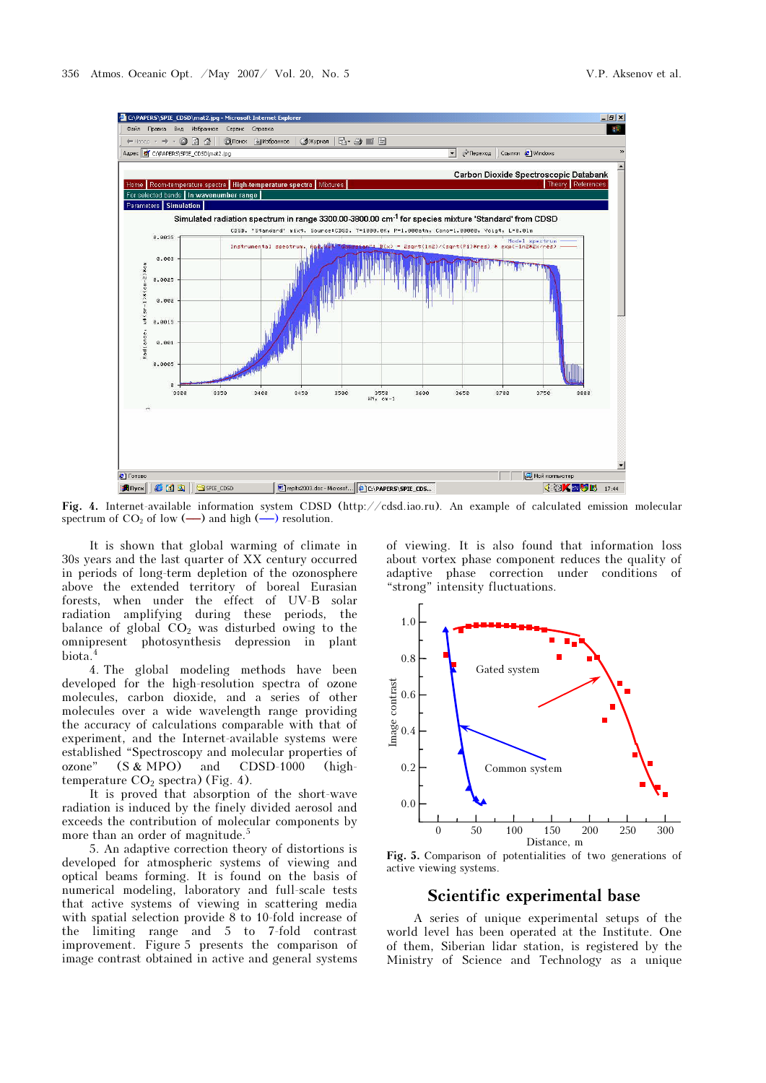

Fig. 4. Internet-available information system CDSD (http://cdsd.iao.ru). An example of calculated emission molecular spectrum of  $CO_2$  of low  $(\longrightarrow)$  and high  $(\longrightarrow)$  resolution.

It is shown that global warming of climate in 30s years and the last quarter of XX century occurred in periods of long-term depletion of the ozonosphere above the extended territory of boreal Eurasian forests, when under the effect of UV-B solar radiation amplifying during these periods, the balance of global  $CO<sub>2</sub>$  was disturbed owing to the omnipresent photosynthesis depression in plant biota.<sup>4</sup>

4. The global modeling methods have been developed for the high-resolution spectra of ozone molecules, carbon dioxide, and a series of other molecules over a wide wavelength range providing the accuracy of calculations comparable with that of experiment, and the Internet-available systems were established "Spectroscopy and molecular properties of ozone" (S & MPO) and CDSD-1000 (hightemperature  $CO<sub>2</sub>$  spectra) (Fig. 4).

It is proved that absorption of the short-wave radiation is induced by the finely divided aerosol and exceeds the contribution of molecular components by more than an order of magnitude.<sup>5</sup>

5. An adaptive correction theory of distortions is developed for atmospheric systems of viewing and optical beams forming. It is found on the basis of numerical modeling, laboratory and full-scale tests that active systems of viewing in scattering media with spatial selection provide  $\overline{8}$  to 10-fold increase of the limiting range and 5 to 7-fold contrast improvement. Figure 5 presents the comparison of image contrast obtained in active and general systems

of viewing. It is also found that information loss about vortex phase component reduces the quality of adaptive phase correction under conditions of "strong" intensity fluctuations.



Fig. 5. Comparison of potentialities of two generations of active viewing systems.

A series of unique experimental setups of the world level has been operated at the Institute. One of them, Siberian lidar station, is registered by the Ministry of Science and Technology as a unique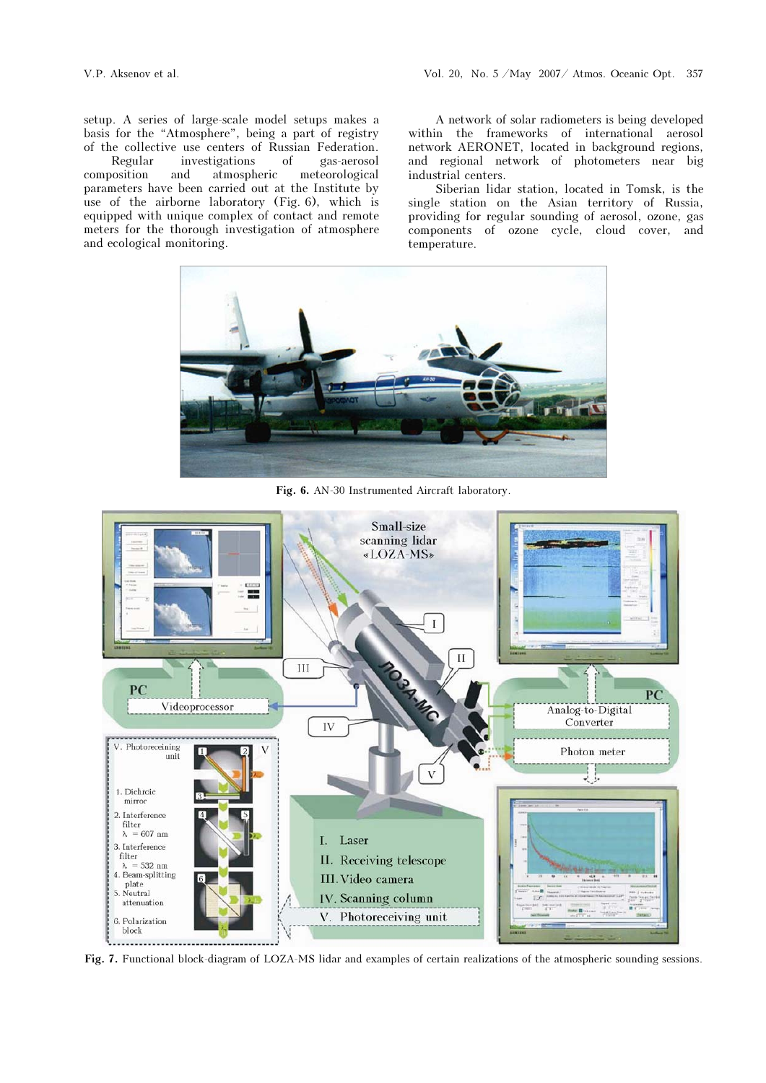and ecological monitoring.

setup. A series of large-scale model setups makes a basis for the "Atmosphere", being a part of registry of the collective use centers of Russian Federation. Regular investigations of gas-aerosol position and atmospheric meteorological composition and atmospheric meteorological parameters have been carried out at the Institute by use of the airborne laboratory (Fig. 6), which is equipped with unique complex of contact and remote

meters for the thorough investigation of atmosphere

A network of solar radiometers is being developed within the frameworks of international aerosol network AERONET, located in background regions, and regional network of photometers near big industrial centers.

Siberian lidar station, located in Tomsk, is the single station on the Asian territory of Russia, providing for regular sounding of aerosol, ozone, gas components of ozone cycle, cloud cover, and temperature.



Fig. 6. AN-30 Instrumented Aircraft laboratory.



Fig. 7. Functional block-diagram of LOZA-MS lidar and examples of certain realizations of the atmospheric sounding sessions.